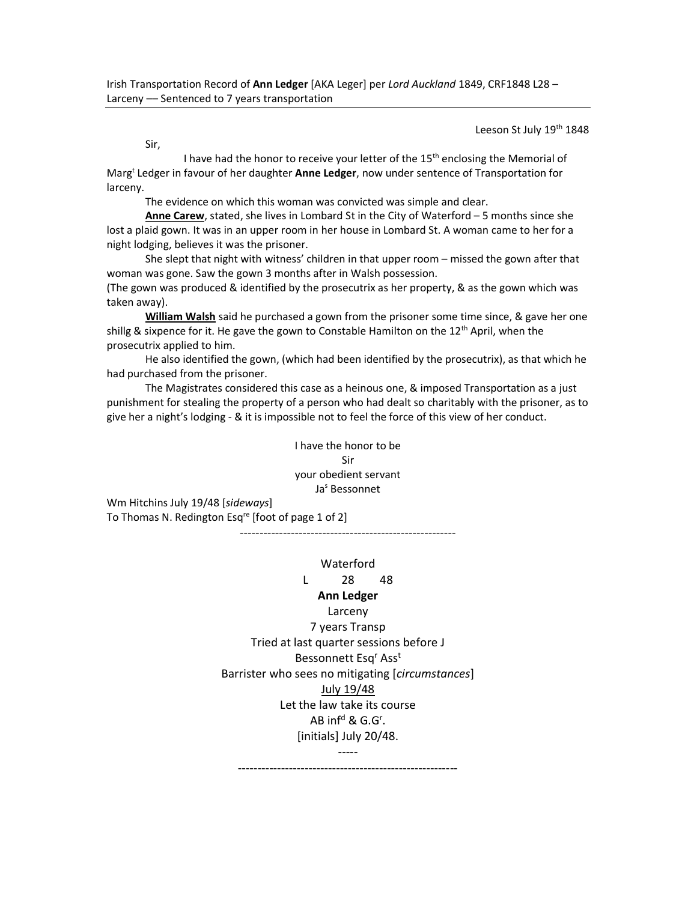Leeson St July 19<sup>th</sup> 1848

Sir,

I have had the honor to receive your letter of the 15<sup>th</sup> enclosing the Memorial of Marg<sup>t</sup> Ledger in favour of her daughter Anne Ledger, now under sentence of Transportation for larceny.

The evidence on which this woman was convicted was simple and clear.

Anne Carew, stated, she lives in Lombard St in the City of Waterford – 5 months since she lost a plaid gown. It was in an upper room in her house in Lombard St. A woman came to her for a night lodging, believes it was the prisoner.

 She slept that night with witness' children in that upper room – missed the gown after that woman was gone. Saw the gown 3 months after in Walsh possession.

(The gown was produced & identified by the prosecutrix as her property, & as the gown which was taken away).

William Walsh said he purchased a gown from the prisoner some time since, & gave her one shillg & sixpence for it. He gave the gown to Constable Hamilton on the  $12<sup>th</sup>$  April, when the prosecutrix applied to him.

 He also identified the gown, (which had been identified by the prosecutrix), as that which he had purchased from the prisoner.

 The Magistrates considered this case as a heinous one, & imposed Transportation as a just punishment for stealing the property of a person who had dealt so charitably with the prisoner, as to give her a night's lodging - & it is impossible not to feel the force of this view of her conduct.

> I have the honor to be Sir your obedient servant Ja<sup>s</sup> Bessonnet

Wm Hitchins July 19/48 [sideways] To Thomas N. Redington Esq<sup>re</sup> [foot of page 1 of 2] -------------------------------------------------------

Waterford

## L 28 48

## Ann Ledger Larceny

7 years Transp Tried at last quarter sessions before J Bessonnett Esq<sup>r</sup> Ass<sup>t</sup> Barrister who sees no mitigating [circumstances] July 19/48 Let the law take its course AB inf<sup>d</sup> & G.G<sup>r</sup>. [initials] July 20/48. -----

--------------------------------------------------------